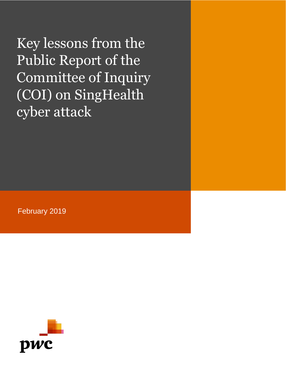Key lessons from the Public Report of the Committee of Inquiry (COI) on SingHealth cyber attack

February 2019

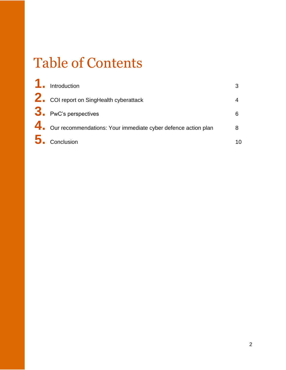# Table of Contents

| 1. Introduction                                                  |    |
|------------------------------------------------------------------|----|
| 2. COI report on SingHealth cyberattack                          |    |
| $3.$ PwC's perspectives                                          |    |
| 4. Our recommendations: Your immediate cyber defence action plan |    |
| $\overline{\mathbf{5}}$ . Conclusion                             | 10 |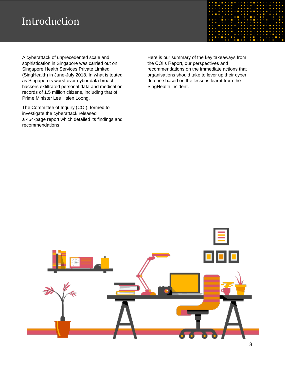### Introduction

A cyberattack of unprecedented scale and sophistication in Singapore was carried out on Singapore Health Services Private Limited (SingHealth) in June-July 2018. In what is touted as Singapore's worst ever cyber data breach, hackers exfiltrated personal data and medication records of 1.5 million citizens, including that of Prime Minister Lee Hsien Loong.

The Committee of Inquiry (COI), formed to investigate the cyberattack released a 454-page report which detailed its findings and recommendations.

Here is our summary of the key takeaways from the COI's Report, our perspectives and recommendations on the immediate actions that organisations should take to lever up their cyber defence based on the lessons learnt from the SingHealth incident.

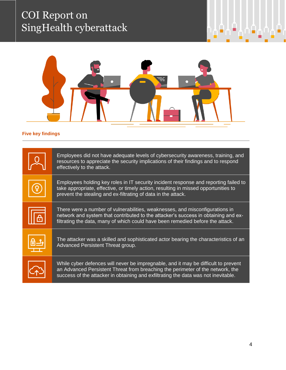## COI Report on SingHealth cyberattack



### **Five key findings**

|                | Employees did not have adequate levels of cybersecurity awareness, training, and<br>resources to appreciate the security implications of their findings and to respond<br>effectively to the attack.                                                       |
|----------------|------------------------------------------------------------------------------------------------------------------------------------------------------------------------------------------------------------------------------------------------------------|
|                | Employees holding key roles in IT security incident response and reporting failed to<br>take appropriate, effective, or timely action, resulting in missed opportunities to<br>prevent the stealing and ex-filtrating of data in the attack.               |
| $\overline{A}$ | There were a number of vulnerabilities, weaknesses, and misconfigurations in<br>network and system that contributed to the attacker's success in obtaining and ex-<br>filtrating the data, many of which could have been remedied before the attack.       |
| <u>டு -3</u>   | The attacker was a skilled and sophisticated actor bearing the characteristics of an<br>Advanced Persistent Threat group.                                                                                                                                  |
|                | While cyber defences will never be impregnable, and it may be difficult to prevent<br>an Advanced Persistent Threat from breaching the perimeter of the network, the<br>success of the attacker in obtaining and exfiltrating the data was not inevitable. |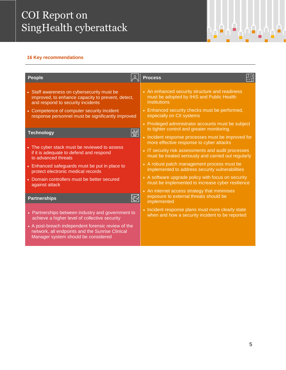### COI Report on SingHealth cyberattack

#### **16 Key recommendations**

| <b>People</b>                                                                                                                                | ╝╬<br><b>Process</b>                                                                                      |
|----------------------------------------------------------------------------------------------------------------------------------------------|-----------------------------------------------------------------------------------------------------------|
| • Staff awareness on cybersecurity must be                                                                                                   | • An enhanced security structure and readiness                                                            |
| improved, to enhance capacity to prevent, detect,                                                                                            | must be adopted by IHiS and Public Health                                                                 |
| and respond to security incidents                                                                                                            | <b>Institutions</b>                                                                                       |
| • Competence of computer security incident                                                                                                   | • Enhanced security checks must be performed,                                                             |
| response personnel must be significantly improved                                                                                            | especially on CII systems                                                                                 |
| $\sqrt{32}$                                                                                                                                  | • Privileged administrator accounts must be subject                                                       |
| <b>Technology</b>                                                                                                                            | to tighter control and greater monitoring.                                                                |
|                                                                                                                                              | • Incident response processes must be improved for<br>more effective response to cyber attacks            |
| • The cyber stack must be reviewed to assess<br>if it is adequate to defend and respond<br>to advanced threats                               | • IT security risk assessments and audit processes<br>must be treated seriously and carried out regularly |
| • Enhanced safeguards must be put in place to                                                                                                | • A robust patch management process must be                                                               |
| protect electronic medical records                                                                                                           | implemented to address security vulnerabilities                                                           |
| • Domain controllers must be better secured                                                                                                  | • A software upgrade policy with focus on security                                                        |
| against attack                                                                                                                               | must be implemented to increase cyber resilience                                                          |
| $\boxtimes$<br><b>Partnerships</b>                                                                                                           | • An internet access strategy that minimises<br>exposure to external threats should be<br>implemented     |
| • Partnerships between industry and government to                                                                                            | • Incident response plans must more clearly state                                                         |
| achieve a higher level of collective security                                                                                                | when and how a security incident to be reported                                                           |
| • A post-breach independent forensic review of the<br>network, all endpoints and the Sunrise Clinical<br>Manager system should be considered |                                                                                                           |

٠.

40)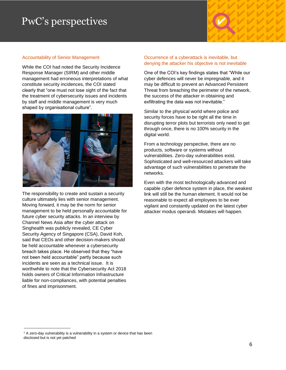### PwC's perspectives

#### Accountability of Senior Management

While the COI had noted the Security Incidence Response Manager (SIRM) and other middle management had erroneous interpretations of what constitute security incidences, the COI stated clearly that "one must not lose sight of the fact that the treatment of cybersecurity issues and incidents by staff and middle management is very much shaped by organisational culture".



The responsibility to create and sustain a security culture ultimately lies with senior management. Moving forward, it may be the norm for senior management to be held personally accountable for future cyber security attacks. In an interview by Channel News Asia after the cyber attack on Singhealth was publicly revealed, CE Cyber Security Agency of Singapore (CSA), David Koh, said that CEOs and other decision-makers should be held accountable whenever a cybersecurity breach takes place. He observed that they "have not been held accountable" partly because such incidents are seen as a technical issue. It is worthwhile to note that the Cybersecurity Act 2018 holds owners of Critical Information Infrastructure liable for non-compliances, with potential penalties of fines and imprisonment.

#### Occurrence of a cyberattack is inevitable, but denying the attacker his objective is not inevitable

One of the COI's key findings states that "While our cyber defences will never be impregnable, and it may be difficult to prevent an Advanced Persistent Threat from breaching the perimeter of the network, the success of the attacker in obtaining and exfiltrating the data was not inevitable."

Similar to the physical world where police and security forces have to be right all the time in disrupting terror plots but terrorists only need to get through once, there is no 100% security in the digital world.

From a technology perspective, there are no products, software or systems without vulnerabilities. Zero-day vulnerabilities exist. Sophisticated and well-resourced attackers will take advantage of such vulnerabilities to penetrate the networks.

Even with the most technologically advanced and capable cyber defence system in place, the weakest link will still be the human element. It would not be reasonable to expect all employees to be ever vigilant and constantly updated on the latest cyber attacker modus operandi. Mistakes will happen.

 $1$  A zero-day vulnerability is a vulnerability in a system or device that has been disclosed but is not yet patched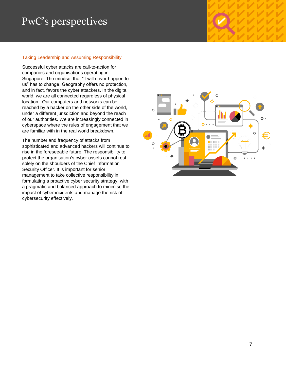## PwC's perspectives

#### Taking Leadership and Assuming Responsibility

Successful cyber attacks are call-to-action for companies and organisations operating in Singapore. The mindset that "it will never happen to us" has to change. Geography offers no protection, and in fact, favors the cyber attackers. In the digital world, we are all connected regardless of physical location. Our computers and networks can be reached by a hacker on the other side of the world, under a different jurisdiction and beyond the reach of our authorities. We are increasingly connected in cyberspace where the rules of engagement that we are familiar with in the real world breakdown.

The number and frequency of attacks from sophisticated and advanced hackers will continue to rise in the foreseeable future. The responsibility to protect the organisation's cyber assets cannot rest solely on the shoulders of the Chief Information Security Officer. It is important for senior management to take collective responsibility in formulating a proactive cyber security strategy, with a pragmatic and balanced approach to minimise the impact of cyber incidents and manage the risk of cybersecurity effectively.

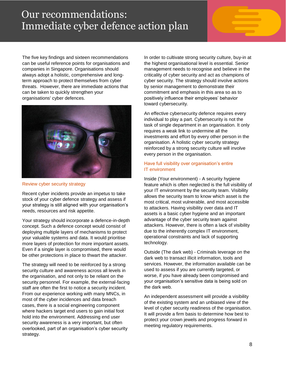### Our recommendations: Immediate cyber defence action plan

The five key findings and sixteen recommendations can be useful reference points for organisations and companies in Singapore. Organisations should always adopt a holistic, comprehensive and longterm approach to protect themselves from cyber threats. However, there are immediate actions that can be taken to quickly strengthen your organisations' cyber defences.



Review cyber security strategy

Recent cyber incidents provide an impetus to take stock of your cyber defence strategy and assess if your strategy is still aligned with your organisation's needs, resources and risk appetite.

Your strategy should incorporate a defence-in-depth concept. Such a defence concept would consist of deploying multiple layers of mechanisms to protect your valuable systems and data. It would prioritise more layers of protection for more important assets. Even if a single layer is compromised, there would be other protections in place to thwart the attacker.

The strategy will need to be reinforced by a strong security culture and awareness across all levels in the organisation, and not only to be reliant on the security personnel. For example, the external-facing staff are often the first to notice a security incident. From our experience working with many MNCs, in most of the cyber incidences and data breach cases, there is a social engineering component where hackers target end users to gain initial foot hold into the environment. Addressing end user security awareness is a very important, but often overlooked, part of an organisation's cyber security strategy.

In order to cultivate strong security culture, buy-in at the highest organisational level is essential. Senior management needs to recognise and believe in the criticality of cyber security and act as champions of cyber security. The strategy should involve actions by senior management to demonstrate their commitment and emphasis in this area so as to positively influence their employees' behavior toward cybersecurity.

An effective cybersecurity defence requires every individual to play a part. Cybersecurity is not the task of single department in an organisation. It only requires a weak link to undermine all the investments and effort by every other person in the organisation. A holistic cyber security strategy reinforced by a strong security culture will involve every person in the organisation.

#### Have full visibility over organisation's entire IT environment

Inside (Your environment) - A security hygiene feature which is often neglected is the full visibility of your IT environment by the security team. Visibility allows the security team to know which asset is the most critical, most vulnerable, and most accessible to attackers. Having visibility over data and IT assets is a basic cyber hygiene and an important advantage of the cyber security team against attackers. However, there is often a lack of visibility due to the inherently complex IT environment, operational constraints and lack of supporting technology.

Outside (The dark web) - Criminals leverage on the dark web to transact illicit information, tools and services. However, the information available can be used to assess if you are currently targeted, or worse, if you have already been compromised and your organisation's sensitive data is being sold on the dark web.

An independent assessment will provide a visibility of the existing system and an unbiased view of the level of cyber security readiness of the organisation. It will provide a firm basis to determine how best to protect your crown jewels and progress forward in meeting regulatory requirements.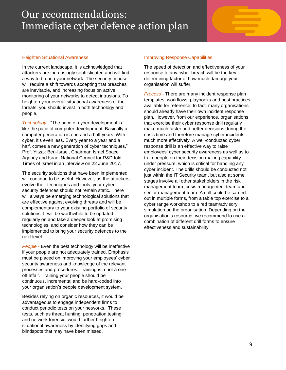### Our recommendations: Immediate cyber defence action plan

#### Heighten Situational Awareness

In the current landscape, it is acknowledged that attackers are increasingly sophisticated and will find a way to breach your network. The security mindset will require a shift towards accepting that breaches are inevitable, and increasing focus on active monitoring of your networks to detect intrusions. To heighten your overall situational awareness of the threats, you should invest in both technology and people.

*Technology -* "The pace of cyber development is like the pace of computer development. Basically a computer generation is one and a half years. With cyber, it's even less. Every year to a year and a half, comes a new generation of cyber techniques," Prof. Yitzak Ben-Israel, Chairman Israel Space Agency and Israel National Council for R&D told Times of Israel in an interview on 22 June 2017.

The security solutions that have been implemented will continue to be useful. However, as the attackers evolve their techniques and tools, your cyber security defences should not remain static. There will always be emerging technological solutions that are effective against evolving threats and will be complementary to your existing portfolio of security solutions. It will be worthwhile to be updated regularly on and take a deeper look at promising technologies, and consider how they can be implemented to bring your security defences to the next level.

*People -* Even the best technology will be ineffective if your people are not adequately trained. Emphasis must be placed on improving your employees' cyber security awareness and knowledge of the relevant processes and procedures. Training is a not a oneoff affair. Training your people should be continuous, incremental and be hard-coded into your organisation's people development system.

Besides relying on organic resources, it would be advantageous to engage independent firms to conduct periodic tests on your networks. These tests, such as threat hunting, penetration testing and network forensic, would further heighten situational awareness by identifying gaps and blindspots that may have been missed.

#### Improving Response Capabilities

The speed of detection and effectiveness of your response to any cyber breach will be the key determining factor of how much damage your organisation will suffer.

*Process -* There are many incident response plan templates, workflows, playbooks and best practices available for reference. In fact, many organisations should already have their own incident response plan. However, from our experience, organisations that exercise their cyber response drill regularly make much faster and better decisions during the crisis time and therefore manage cyber incidents much more effectively. A well-conducted cyber response drill is an effective way to raise employees' cyber security awareness as well as to train people on their decision making capability under pressure, which is critical for handling any cyber incident. The drills should be conducted not just within the IT Security team, but also at some stages involve all other stakeholders in the risk management team, crisis management team and senior management team. A drill could be carried out in multiple forms, from a table top exercise to a cyber range workshop to a red team/advisory simulation on the organisation. Depending on the organisation's resource, we recommend to use a combination of different drill forms to ensure effectiveness and sustainability.